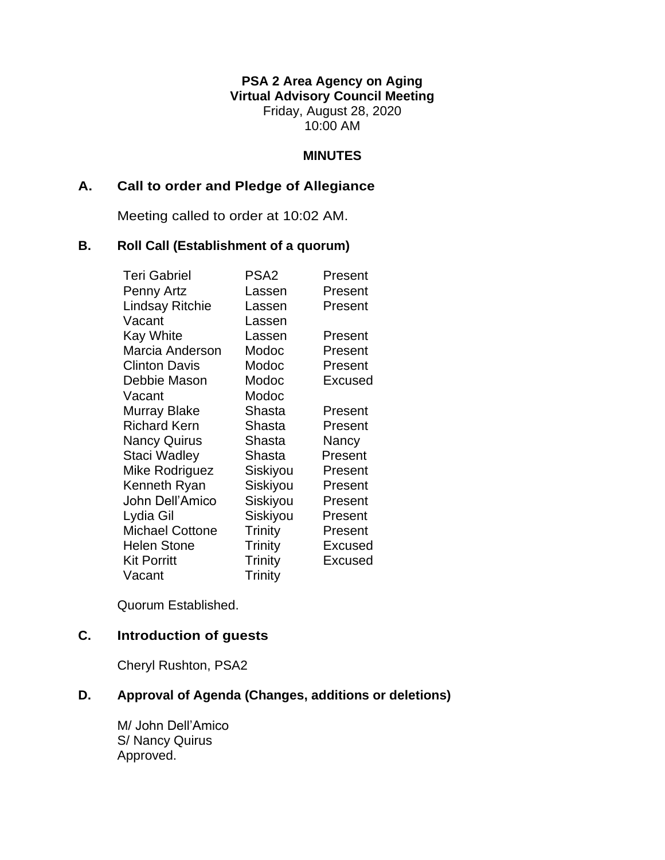## **PSA 2 Area Agency on Aging Virtual Advisory Council Meeting** Friday, August 28, 2020 10:00 AM

#### **MINUTES**

### **A. Call to order and Pledge of Allegiance**

Meeting called to order at 10:02 AM.

#### **B. Roll Call (Establishment of a quorum)**

| <b>Teri Gabriel</b>    | PSA <sub>2</sub> | Present |
|------------------------|------------------|---------|
| Penny Artz             | Lassen           | Present |
| <b>Lindsay Ritchie</b> | Lassen           | Present |
| Vacant                 | Lassen           |         |
| <b>Kay White</b>       | Lassen           | Present |
| Marcia Anderson        | Modoc            | Present |
| <b>Clinton Davis</b>   | Modoc            | Present |
| Debbie Mason           | Modoc            | Excused |
| Vacant                 | Modoc            |         |
| Murray Blake           | Shasta           | Present |
| <b>Richard Kern</b>    | Shasta           | Present |
| <b>Nancy Quirus</b>    | Shasta           | Nancy   |
| Staci Wadley           | Shasta           | Present |
| Mike Rodriguez         | Siskiyou         | Present |
| Kenneth Ryan           | Siskiyou         | Present |
| John Dell'Amico        | Siskiyou         | Present |
| Lydia Gil              | Siskiyou         | Present |
| <b>Michael Cottone</b> | Trinity          | Present |
| <b>Helen Stone</b>     | Trinity          | Excused |
| <b>Kit Porritt</b>     | <b>Trinity</b>   | Excused |
| Vacant                 | <b>Trinity</b>   |         |

Quorum Established.

# **C. Introduction of guests**

Cheryl Rushton, PSA2

# **D. Approval of Agenda (Changes, additions or deletions)**

M/ John Dell'Amico S/ Nancy Quirus Approved.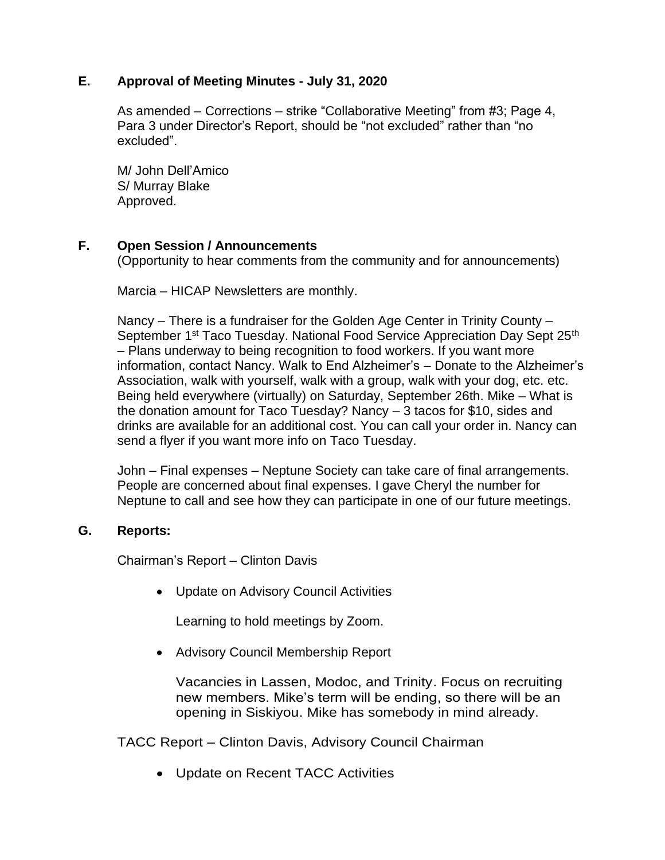## **E. Approval of Meeting Minutes - July 31, 2020**

As amended – Corrections – strike "Collaborative Meeting" from #3; Page 4, Para 3 under Director's Report, should be "not excluded" rather than "no excluded".

M/ John Dell'Amico S/ Murray Blake Approved.

## **F. Open Session / Announcements**

(Opportunity to hear comments from the community and for announcements)

Marcia – HICAP Newsletters are monthly.

Nancy – There is a fundraiser for the Golden Age Center in Trinity County – September 1<sup>st</sup> Taco Tuesday. National Food Service Appreciation Day Sept 25<sup>th</sup> – Plans underway to being recognition to food workers. If you want more information, contact Nancy. Walk to End Alzheimer's – Donate to the Alzheimer's Association, walk with yourself, walk with a group, walk with your dog, etc. etc. Being held everywhere (virtually) on Saturday, September 26th. Mike – What is the donation amount for Taco Tuesday? Nancy – 3 tacos for \$10, sides and drinks are available for an additional cost. You can call your order in. Nancy can send a flyer if you want more info on Taco Tuesday.

John – Final expenses – Neptune Society can take care of final arrangements. People are concerned about final expenses. I gave Cheryl the number for Neptune to call and see how they can participate in one of our future meetings.

### **G. Reports:**

Chairman's Report – Clinton Davis

• Update on Advisory Council Activities

Learning to hold meetings by Zoom.

• Advisory Council Membership Report

Vacancies in Lassen, Modoc, and Trinity. Focus on recruiting new members. Mike's term will be ending, so there will be an opening in Siskiyou. Mike has somebody in mind already.

TACC Report – Clinton Davis, Advisory Council Chairman

• Update on Recent TACC Activities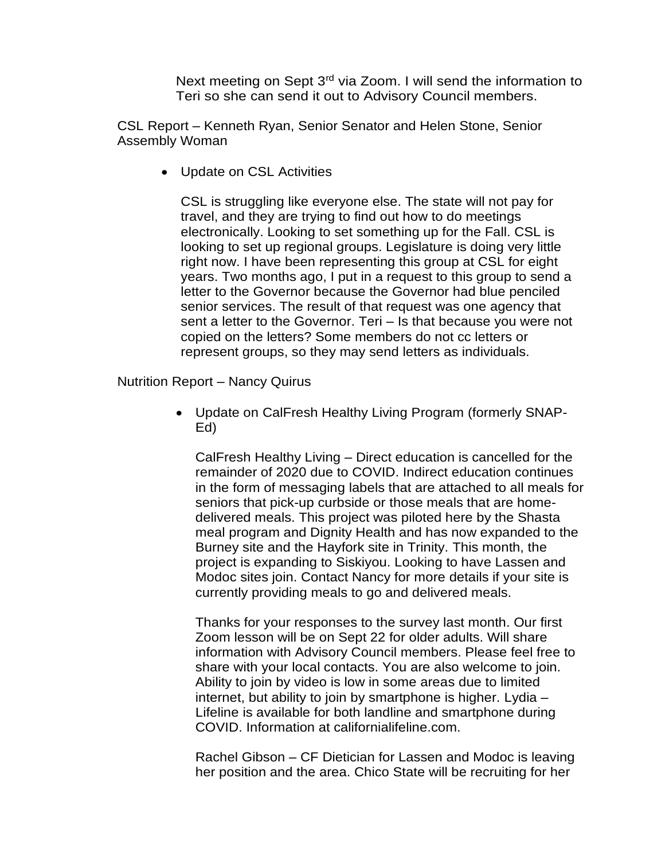Next meeting on Sept 3<sup>rd</sup> via Zoom. I will send the information to Teri so she can send it out to Advisory Council members.

CSL Report – Kenneth Ryan, Senior Senator and Helen Stone, Senior Assembly Woman

• Update on CSL Activities

CSL is struggling like everyone else. The state will not pay for travel, and they are trying to find out how to do meetings electronically. Looking to set something up for the Fall. CSL is looking to set up regional groups. Legislature is doing very little right now. I have been representing this group at CSL for eight years. Two months ago, I put in a request to this group to send a letter to the Governor because the Governor had blue penciled senior services. The result of that request was one agency that sent a letter to the Governor. Teri – Is that because you were not copied on the letters? Some members do not cc letters or represent groups, so they may send letters as individuals.

Nutrition Report – Nancy Quirus

• Update on CalFresh Healthy Living Program (formerly SNAP-Ed)

CalFresh Healthy Living – Direct education is cancelled for the remainder of 2020 due to COVID. Indirect education continues in the form of messaging labels that are attached to all meals for seniors that pick-up curbside or those meals that are homedelivered meals. This project was piloted here by the Shasta meal program and Dignity Health and has now expanded to the Burney site and the Hayfork site in Trinity. This month, the project is expanding to Siskiyou. Looking to have Lassen and Modoc sites join. Contact Nancy for more details if your site is currently providing meals to go and delivered meals.

Thanks for your responses to the survey last month. Our first Zoom lesson will be on Sept 22 for older adults. Will share information with Advisory Council members. Please feel free to share with your local contacts. You are also welcome to join. Ability to join by video is low in some areas due to limited internet, but ability to join by smartphone is higher. Lydia – Lifeline is available for both landline and smartphone during COVID. Information at californialifeline.com.

Rachel Gibson – CF Dietician for Lassen and Modoc is leaving her position and the area. Chico State will be recruiting for her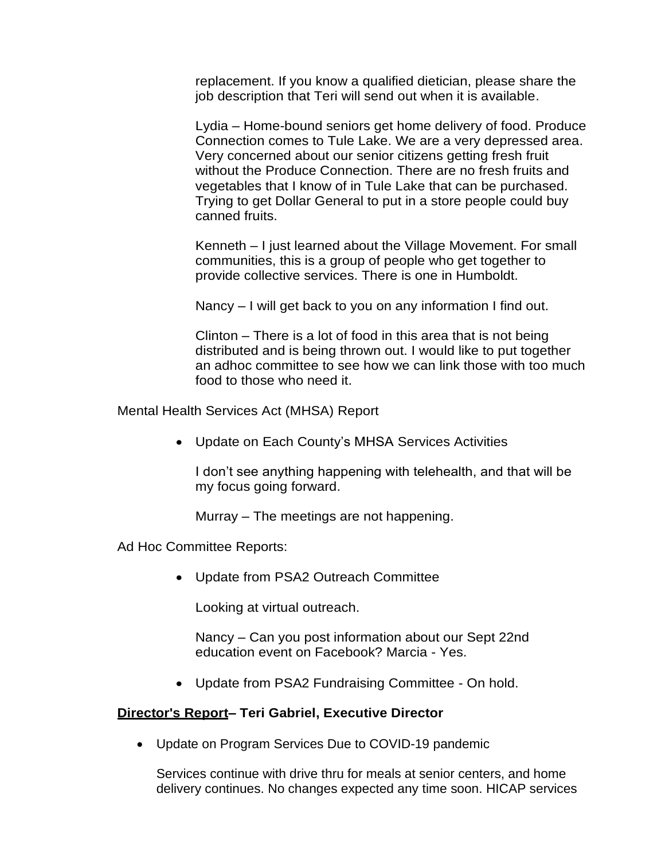replacement. If you know a qualified dietician, please share the job description that Teri will send out when it is available.

Lydia – Home-bound seniors get home delivery of food. Produce Connection comes to Tule Lake. We are a very depressed area. Very concerned about our senior citizens getting fresh fruit without the Produce Connection. There are no fresh fruits and vegetables that I know of in Tule Lake that can be purchased. Trying to get Dollar General to put in a store people could buy canned fruits.

Kenneth – I just learned about the Village Movement. For small communities, this is a group of people who get together to provide collective services. There is one in Humboldt.

Nancy – I will get back to you on any information I find out.

Clinton – There is a lot of food in this area that is not being distributed and is being thrown out. I would like to put together an adhoc committee to see how we can link those with too much food to those who need it.

Mental Health Services Act (MHSA) Report

• Update on Each County's MHSA Services Activities

I don't see anything happening with telehealth, and that will be my focus going forward.

Murray – The meetings are not happening.

Ad Hoc Committee Reports:

• Update from PSA2 Outreach Committee

Looking at virtual outreach.

Nancy – Can you post information about our Sept 22nd education event on Facebook? Marcia - Yes.

• Update from PSA2 Fundraising Committee - On hold.

#### **Director's Report– Teri Gabriel, Executive Director**

• Update on Program Services Due to COVID-19 pandemic

Services continue with drive thru for meals at senior centers, and home delivery continues. No changes expected any time soon. HICAP services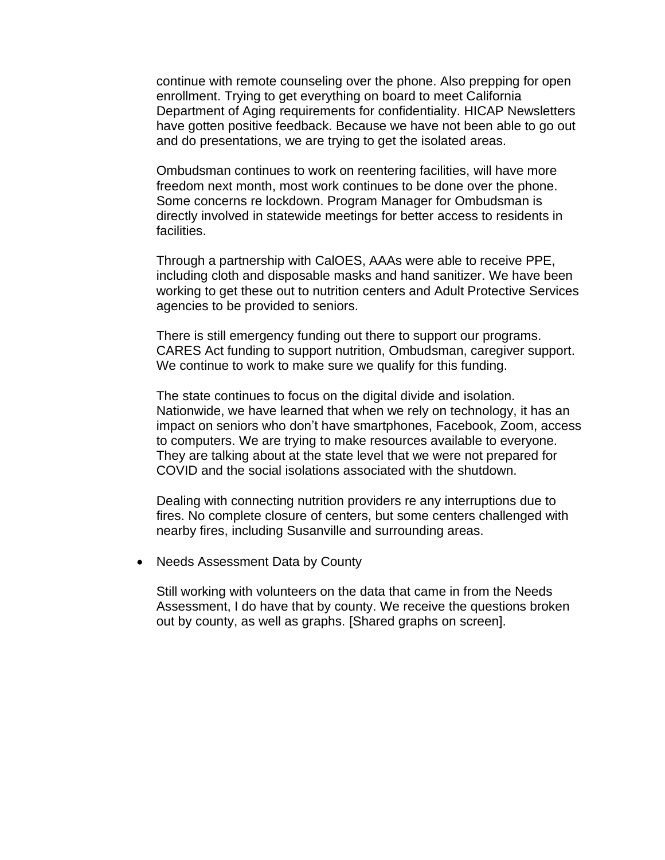continue with remote counseling over the phone. Also prepping for open enrollment. Trying to get everything on board to meet California Department of Aging requirements for confidentiality. HICAP Newsletters have gotten positive feedback. Because we have not been able to go out and do presentations, we are trying to get the isolated areas.

Ombudsman continues to work on reentering facilities, will have more freedom next month, most work continues to be done over the phone. Some concerns re lockdown. Program Manager for Ombudsman is directly involved in statewide meetings for better access to residents in facilities.

Through a partnership with CalOES, AAAs were able to receive PPE, including cloth and disposable masks and hand sanitizer. We have been working to get these out to nutrition centers and Adult Protective Services agencies to be provided to seniors.

There is still emergency funding out there to support our programs. CARES Act funding to support nutrition, Ombudsman, caregiver support. We continue to work to make sure we qualify for this funding.

The state continues to focus on the digital divide and isolation. Nationwide, we have learned that when we rely on technology, it has an impact on seniors who don't have smartphones, Facebook, Zoom, access to computers. We are trying to make resources available to everyone. They are talking about at the state level that we were not prepared for COVID and the social isolations associated with the shutdown.

Dealing with connecting nutrition providers re any interruptions due to fires. No complete closure of centers, but some centers challenged with nearby fires, including Susanville and surrounding areas.

• Needs Assessment Data by County

Still working with volunteers on the data that came in from the Needs Assessment, I do have that by county. We receive the questions broken out by county, as well as graphs. [Shared graphs on screen].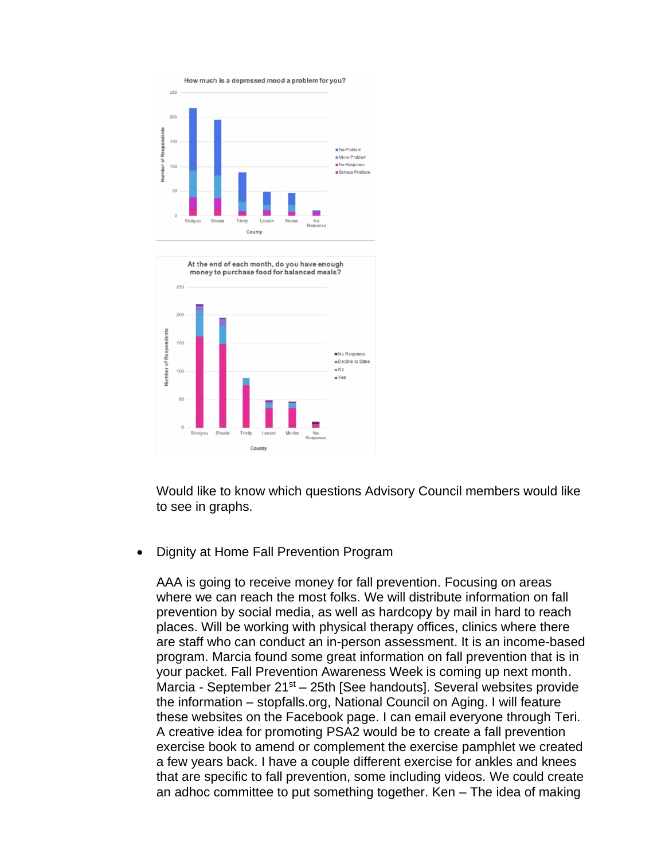

Would like to know which questions Advisory Council members would like to see in graphs.

• Dignity at Home Fall Prevention Program

County

AAA is going to receive money for fall prevention. Focusing on areas where we can reach the most folks. We will distribute information on fall prevention by social media, as well as hardcopy by mail in hard to reach places. Will be working with physical therapy offices, clinics where there are staff who can conduct an in-person assessment. It is an income-based program. Marcia found some great information on fall prevention that is in your packet. Fall Prevention Awareness Week is coming up next month. Marcia - September 21<sup>st</sup> – 25th [See handouts]. Several websites provide the information – stopfalls.org, National Council on Aging. I will feature these websites on the Facebook page. I can email everyone through Teri. A creative idea for promoting PSA2 would be to create a fall prevention exercise book to amend or complement the exercise pamphlet we created a few years back. I have a couple different exercise for ankles and knees that are specific to fall prevention, some including videos. We could create an adhoc committee to put something together. Ken – The idea of making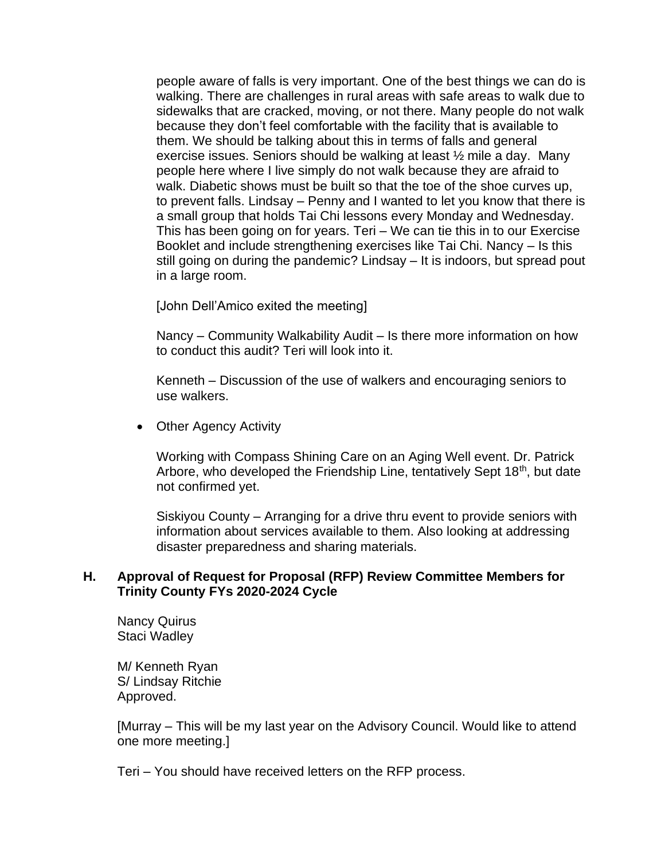people aware of falls is very important. One of the best things we can do is walking. There are challenges in rural areas with safe areas to walk due to sidewalks that are cracked, moving, or not there. Many people do not walk because they don't feel comfortable with the facility that is available to them. We should be talking about this in terms of falls and general exercise issues. Seniors should be walking at least ½ mile a day. Many people here where I live simply do not walk because they are afraid to walk. Diabetic shows must be built so that the toe of the shoe curves up, to prevent falls. Lindsay – Penny and I wanted to let you know that there is a small group that holds Tai Chi lessons every Monday and Wednesday. This has been going on for years. Teri – We can tie this in to our Exercise Booklet and include strengthening exercises like Tai Chi. Nancy – Is this still going on during the pandemic? Lindsay – It is indoors, but spread pout in a large room.

[John Dell'Amico exited the meeting]

Nancy – Community Walkability Audit – Is there more information on how to conduct this audit? Teri will look into it.

Kenneth – Discussion of the use of walkers and encouraging seniors to use walkers.

• Other Agency Activity

Working with Compass Shining Care on an Aging Well event. Dr. Patrick Arbore, who developed the Friendship Line, tentatively Sept 18<sup>th</sup>, but date not confirmed yet.

Siskiyou County – Arranging for a drive thru event to provide seniors with information about services available to them. Also looking at addressing disaster preparedness and sharing materials.

#### **H. Approval of Request for Proposal (RFP) Review Committee Members for Trinity County FYs 2020-2024 Cycle**

Nancy Quirus Staci Wadley

M/ Kenneth Ryan S/ Lindsay Ritchie Approved.

[Murray – This will be my last year on the Advisory Council. Would like to attend one more meeting.]

Teri – You should have received letters on the RFP process.